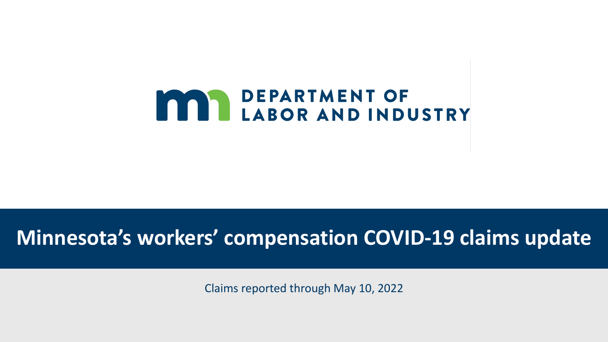

# **Minnesota's workers' compensation COVID-19 claims update**

Claims reported through May 10, 2022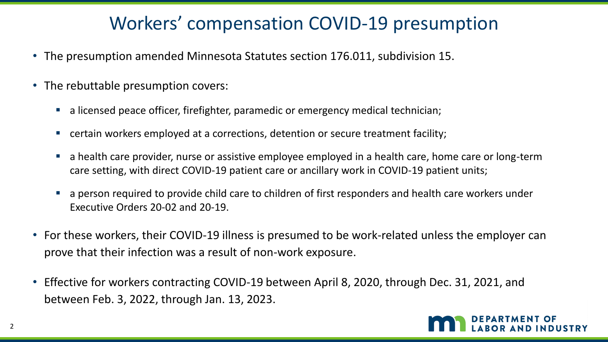# Workers' compensation COVID-19 presumption

- The presumption amended Minnesota Statutes section 176.011, subdivision 15.
- The rebuttable presumption covers:
	- **·** a licensed peace officer, firefighter, paramedic or emergency medical technician;
	- certain workers employed at a corrections, detention or secure treatment facility;
	- **EXT** a health care provider, nurse or assistive employee employed in a health care, home care or long-term care setting, with direct COVID-19 patient care or ancillary work in COVID-19 patient units;
	- a person required to provide child care to children of first responders and health care workers under Executive Orders 20-02 and 20-19.
- For these workers, their COVID-19 illness is presumed to be work-related unless the employer can prove that their infection was a result of non-work exposure.
- Effective for workers contracting COVID-19 between April 8, 2020, through Dec. 31, 2021, and between Feb. 3, 2022, through Jan. 13, 2023.

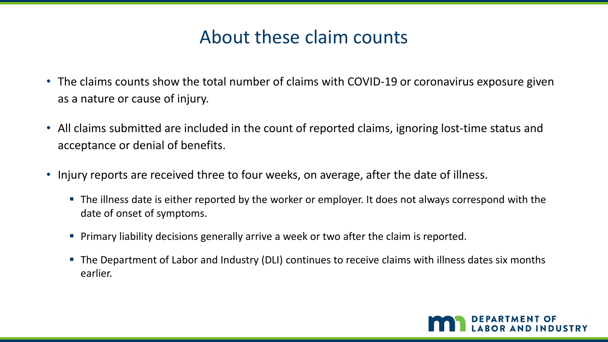## About these claim counts

- The claims counts show the total number of claims with COVID-19 or coronavirus exposure given as a nature or cause of injury.
- All claims submitted are included in the count of reported claims, ignoring lost-time status and acceptance or denial of benefits.
- Injury reports are received three to four weeks, on average, after the date of illness.
	- **The illness date is either reported by the worker or employer. It does not always correspond with the** date of onset of symptoms.
	- **Primary liability decisions generally arrive a week or two after the claim is reported.**
	- The Department of Labor and Industry (DLI) continues to receive claims with illness dates six months earlier.

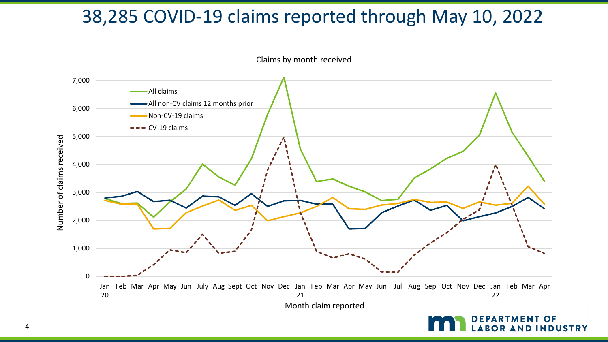# 38,285 COVID-19 claims reported through May 10, 2022



Claims by month received

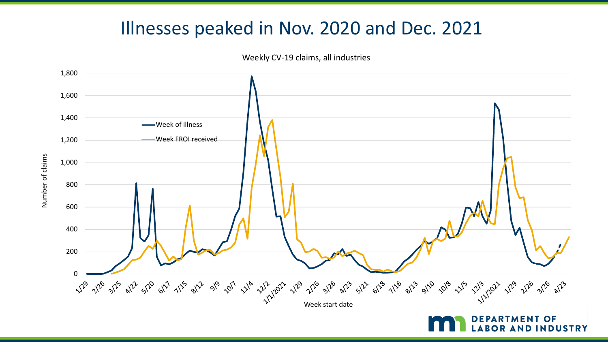### Illnesses peaked in Nov. 2020 and Dec. 2021



LABOR AND INDUSTRY

Weekly CV-19 claims, all industries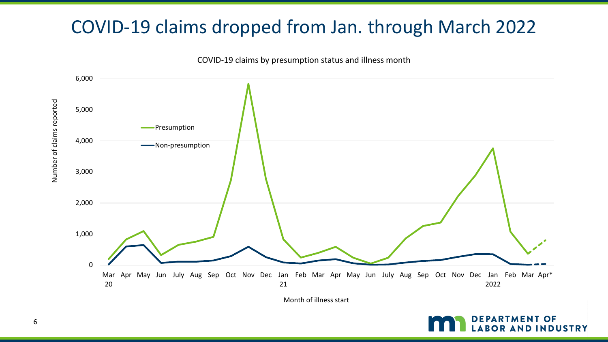# COVID-19 claims dropped from Jan. through March 2022



COVID-19 claims by presumption status and illness month

Month of illness start



Number of claims reported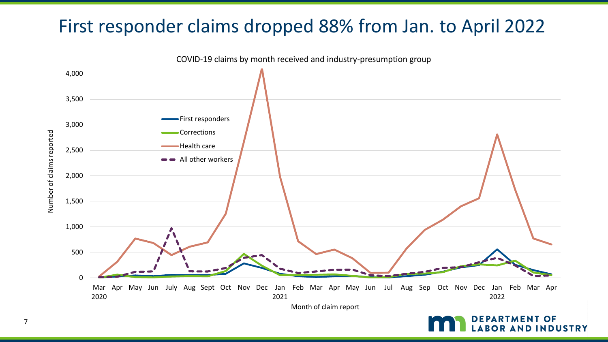# First responder claims dropped 88% from Jan. to April 2022



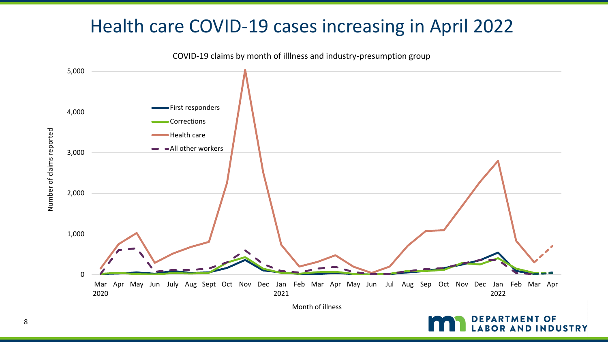# Health care COVID-19 cases increasing in April 2022



Month of illness



8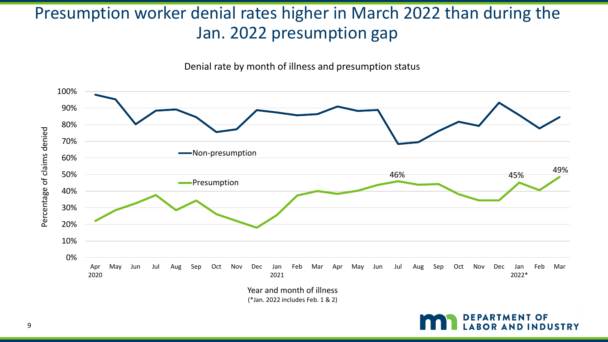### Presumption worker denial rates higher in March 2022 than during the Jan. 2022 presumption gap

Denial rate by month of illness and presumption status



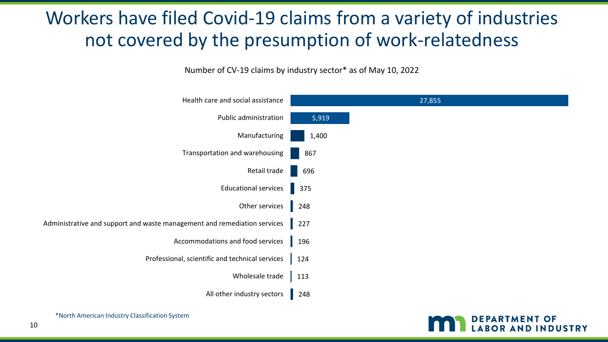# Workers have filed Covid-19 claims from a variety of industries not covered by the presumption of work-relatedness

Number of CV-19 claims by industry sector\* as of May 10, 2022

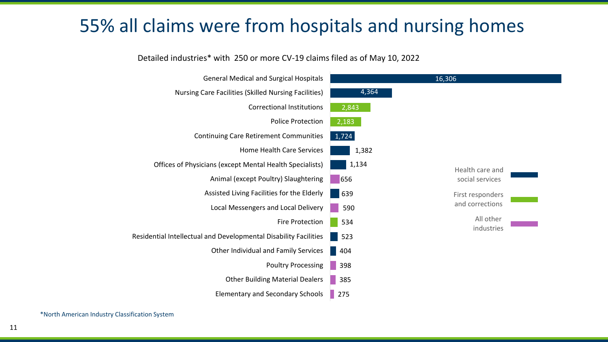## 55% all claims were from hospitals and nursing homes

#### Detailed industries\* with 250 or more CV-19 claims filed as of May 10, 2022



\*North American Industry Classification System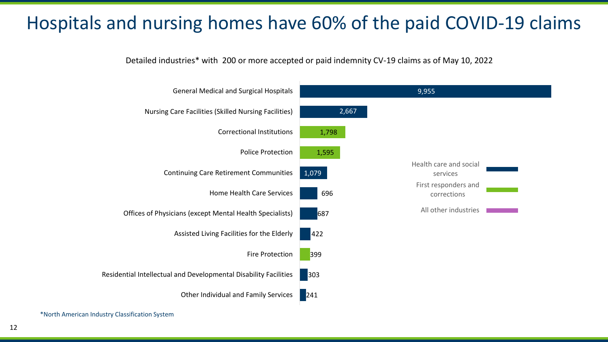# Hospitals and nursing homes have 60% of the paid COVID-19 claims

Detailed industries\* with 200 or more accepted or paid indemnity CV-19 claims as of May 10, 2022



\*North American Industry Classification System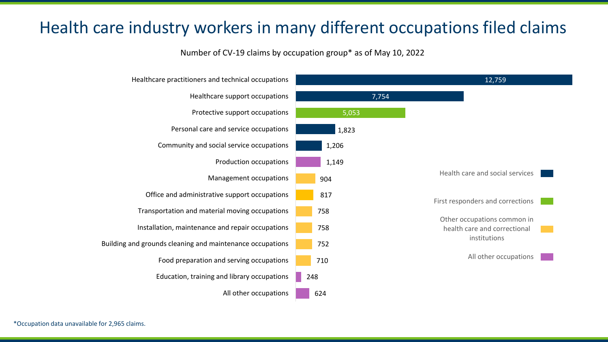#### Health care industry workers in many different occupations filed claims

Number of CV-19 claims by occupation group\* as of May 10, 2022